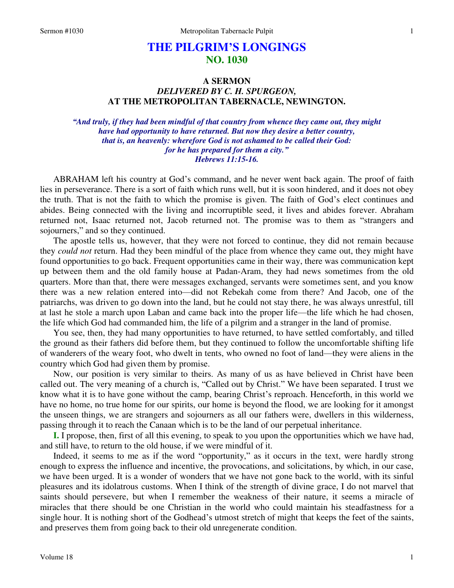# **THE PILGRIM'S LONGINGS NO. 1030**

# **A SERMON**  *DELIVERED BY C. H. SPURGEON,*  **AT THE METROPOLITAN TABERNACLE, NEWINGTON.**

*"And truly, if they had been mindful of that country from whence they came out, they might have had opportunity to have returned. But now they desire a better country, that is, an heavenly: wherefore God is not ashamed to be called their God: for he has prepared for them a city." Hebrews 11:15-16.* 

ABRAHAM left his country at God's command, and he never went back again. The proof of faith lies in perseverance. There is a sort of faith which runs well, but it is soon hindered, and it does not obey the truth. That is not the faith to which the promise is given. The faith of God's elect continues and abides. Being connected with the living and incorruptible seed, it lives and abides forever. Abraham returned not, Isaac returned not, Jacob returned not. The promise was to them as "strangers and sojourners," and so they continued.

The apostle tells us, however, that they were not forced to continue, they did not remain because they *could not* return. Had they been mindful of the place from whence they came out, they might have found opportunities to go back. Frequent opportunities came in their way, there was communication kept up between them and the old family house at Padan-Aram, they had news sometimes from the old quarters. More than that, there were messages exchanged, servants were sometimes sent, and you know there was a new relation entered into—did not Rebekah come from there? And Jacob, one of the patriarchs, was driven to go down into the land, but he could not stay there, he was always unrestful, till at last he stole a march upon Laban and came back into the proper life—the life which he had chosen, the life which God had commanded him, the life of a pilgrim and a stranger in the land of promise.

You see, then, they had many opportunities to have returned, to have settled comfortably, and tilled the ground as their fathers did before them, but they continued to follow the uncomfortable shifting life of wanderers of the weary foot, who dwelt in tents, who owned no foot of land—they were aliens in the country which God had given them by promise.

Now, our position is very similar to theirs. As many of us as have believed in Christ have been called out. The very meaning of a church is, "Called out by Christ." We have been separated. I trust we know what it is to have gone without the camp, bearing Christ's reproach. Henceforth, in this world we have no home, no true home for our spirits, our home is beyond the flood, we are looking for it amongst the unseen things, we are strangers and sojourners as all our fathers were, dwellers in this wilderness, passing through it to reach the Canaan which is to be the land of our perpetual inheritance.

**I.** I propose, then, first of all this evening, to speak to you upon the opportunities which we have had, and still have, to return to the old house, if we were mindful of it.

Indeed, it seems to me as if the word "opportunity," as it occurs in the text, were hardly strong enough to express the influence and incentive, the provocations, and solicitations, by which, in our case, we have been urged. It is a wonder of wonders that we have not gone back to the world, with its sinful pleasures and its idolatrous customs. When I think of the strength of divine grace, I do not marvel that saints should persevere, but when I remember the weakness of their nature, it seems a miracle of miracles that there should be one Christian in the world who could maintain his steadfastness for a single hour. It is nothing short of the Godhead's utmost stretch of might that keeps the feet of the saints, and preserves them from going back to their old unregenerate condition.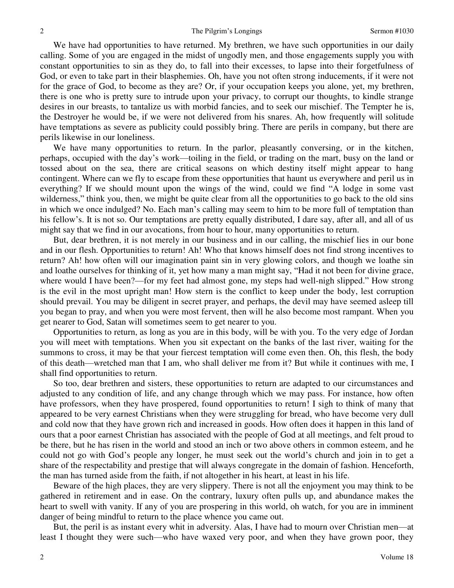We have had opportunities to have returned. My brethren, we have such opportunities in our daily calling. Some of you are engaged in the midst of ungodly men, and those engagements supply you with constant opportunities to sin as they do, to fall into their excesses, to lapse into their forgetfulness of God, or even to take part in their blasphemies. Oh, have you not often strong inducements, if it were not for the grace of God, to become as they are? Or, if your occupation keeps you alone, yet, my brethren, there is one who is pretty sure to intrude upon your privacy, to corrupt our thoughts, to kindle strange desires in our breasts, to tantalize us with morbid fancies, and to seek our mischief. The Tempter he is, the Destroyer he would be, if we were not delivered from his snares. Ah, how frequently will solitude have temptations as severe as publicity could possibly bring. There are perils in company, but there are perils likewise in our loneliness.

We have many opportunities to return. In the parlor, pleasantly conversing, or in the kitchen, perhaps, occupied with the day's work—toiling in the field, or trading on the mart, busy on the land or tossed about on the sea, there are critical seasons on which destiny itself might appear to hang contingent. Where can we fly to escape from these opportunities that haunt us everywhere and peril us in everything? If we should mount upon the wings of the wind, could we find "A lodge in some vast wilderness," think you, then, we might be quite clear from all the opportunities to go back to the old sins in which we once indulged? No. Each man's calling may seem to him to be more full of temptation than his fellow's. It is not so. Our temptations are pretty equally distributed, I dare say, after all, and all of us might say that we find in our avocations, from hour to hour, many opportunities to return.

But, dear brethren, it is not merely in our business and in our calling, the mischief lies in our bone and in our flesh. Opportunities to return! Ah! Who that knows himself does not find strong incentives to return? Ah! how often will our imagination paint sin in very glowing colors, and though we loathe sin and loathe ourselves for thinking of it, yet how many a man might say, "Had it not been for divine grace, where would I have been?—for my feet had almost gone, my steps had well-nigh slipped." How strong is the evil in the most upright man! How stern is the conflict to keep under the body, lest corruption should prevail. You may be diligent in secret prayer, and perhaps, the devil may have seemed asleep till you began to pray, and when you were most fervent, then will he also become most rampant. When you get nearer to God, Satan will sometimes seem to get nearer to you.

Opportunities to return, as long as you are in this body, will be with you. To the very edge of Jordan you will meet with temptations. When you sit expectant on the banks of the last river, waiting for the summons to cross, it may be that your fiercest temptation will come even then. Oh, this flesh, the body of this death—wretched man that I am, who shall deliver me from it? But while it continues with me, I shall find opportunities to return.

So too, dear brethren and sisters, these opportunities to return are adapted to our circumstances and adjusted to any condition of life, and any change through which we may pass. For instance, how often have professors, when they have prospered, found opportunities to return! I sigh to think of many that appeared to be very earnest Christians when they were struggling for bread, who have become very dull and cold now that they have grown rich and increased in goods. How often does it happen in this land of ours that a poor earnest Christian has associated with the people of God at all meetings, and felt proud to be there, but he has risen in the world and stood an inch or two above others in common esteem, and he could not go with God's people any longer, he must seek out the world's church and join in to get a share of the respectability and prestige that will always congregate in the domain of fashion. Henceforth, the man has turned aside from the faith, if not altogether in his heart, at least in his life.

Beware of the high places, they are very slippery. There is not all the enjoyment you may think to be gathered in retirement and in ease. On the contrary, luxury often pulls up, and abundance makes the heart to swell with vanity. If any of you are prospering in this world, oh watch, for you are in imminent danger of being mindful to return to the place whence you came out.

But, the peril is as instant every whit in adversity. Alas, I have had to mourn over Christian men—at least I thought they were such—who have waxed very poor, and when they have grown poor, they

2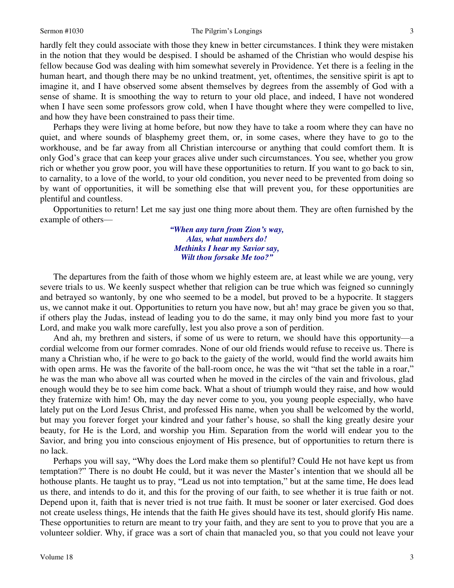### Sermon #1030 The Pilgrim's Longings

hardly felt they could associate with those they knew in better circumstances. I think they were mistaken in the notion that they would be despised. I should be ashamed of the Christian who would despise his fellow because God was dealing with him somewhat severely in Providence. Yet there is a feeling in the human heart, and though there may be no unkind treatment, yet, oftentimes, the sensitive spirit is apt to imagine it, and I have observed some absent themselves by degrees from the assembly of God with a sense of shame. It is smoothing the way to return to your old place, and indeed, I have not wondered when I have seen some professors grow cold, when I have thought where they were compelled to live, and how they have been constrained to pass their time.

Perhaps they were living at home before, but now they have to take a room where they can have no quiet, and where sounds of blasphemy greet them, or, in some cases, where they have to go to the workhouse, and be far away from all Christian intercourse or anything that could comfort them. It is only God's grace that can keep your graces alive under such circumstances. You see, whether you grow rich or whether you grow poor, you will have these opportunities to return. If you want to go back to sin, to carnality, to a love of the world, to your old condition, you never need to be prevented from doing so by want of opportunities, it will be something else that will prevent you, for these opportunities are plentiful and countless.

Opportunities to return! Let me say just one thing more about them. They are often furnished by the example of others—

> *"When any turn from Zion's way, Alas, what numbers do! Methinks I hear my Savior say, Wilt thou forsake Me too?"*

 The departures from the faith of those whom we highly esteem are, at least while we are young, very severe trials to us. We keenly suspect whether that religion can be true which was feigned so cunningly and betrayed so wantonly, by one who seemed to be a model, but proved to be a hypocrite. It staggers us, we cannot make it out. Opportunities to return you have now, but ah! may grace be given you so that, if others play the Judas, instead of leading you to do the same, it may only bind you more fast to your Lord, and make you walk more carefully, lest you also prove a son of perdition.

And ah, my brethren and sisters, if some of us were to return, we should have this opportunity—a cordial welcome from our former comrades. None of our old friends would refuse to receive us. There is many a Christian who, if he were to go back to the gaiety of the world, would find the world awaits him with open arms. He was the favorite of the ball-room once, he was the wit "that set the table in a roar," he was the man who above all was courted when he moved in the circles of the vain and frivolous, glad enough would they be to see him come back. What a shout of triumph would they raise, and how would they fraternize with him! Oh, may the day never come to you, you young people especially, who have lately put on the Lord Jesus Christ, and professed His name, when you shall be welcomed by the world, but may you forever forget your kindred and your father's house, so shall the king greatly desire your beauty, for He is the Lord, and worship you Him. Separation from the world will endear you to the Savior, and bring you into conscious enjoyment of His presence, but of opportunities to return there is no lack.

Perhaps you will say, "Why does the Lord make them so plentiful? Could He not have kept us from temptation?" There is no doubt He could, but it was never the Master's intention that we should all be hothouse plants. He taught us to pray, "Lead us not into temptation," but at the same time, He does lead us there, and intends to do it, and this for the proving of our faith, to see whether it is true faith or not. Depend upon it, faith that is never tried is not true faith. It must be sooner or later exercised. God does not create useless things, He intends that the faith He gives should have its test, should glorify His name. These opportunities to return are meant to try your faith, and they are sent to you to prove that you are a volunteer soldier. Why, if grace was a sort of chain that manacled you, so that you could not leave your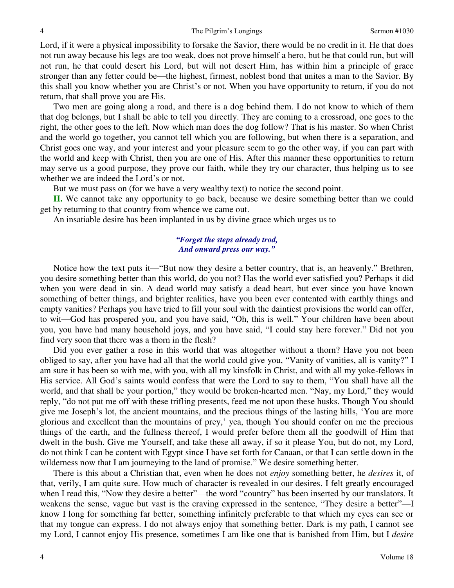Lord, if it were a physical impossibility to forsake the Savior, there would be no credit in it. He that does not run away because his legs are too weak, does not prove himself a hero, but he that could run, but will not run, he that could desert his Lord, but will not desert Him, has within him a principle of grace stronger than any fetter could be—the highest, firmest, noblest bond that unites a man to the Savior. By this shall you know whether you are Christ's or not. When you have opportunity to return, if you do not return, that shall prove you are His.

Two men are going along a road, and there is a dog behind them. I do not know to which of them that dog belongs, but I shall be able to tell you directly. They are coming to a crossroad, one goes to the right, the other goes to the left. Now which man does the dog follow? That is his master. So when Christ and the world go together, you cannot tell which you are following, but when there is a separation, and Christ goes one way, and your interest and your pleasure seem to go the other way, if you can part with the world and keep with Christ, then you are one of His. After this manner these opportunities to return may serve us a good purpose, they prove our faith, while they try our character, thus helping us to see whether we are indeed the Lord's or not.

But we must pass on (for we have a very wealthy text) to notice the second point.

**II.** We cannot take any opportunity to go back, because we desire something better than we could get by returning to that country from whence we came out.

An insatiable desire has been implanted in us by divine grace which urges us to—

## *"Forget the steps already trod, And onward press our way."*

 Notice how the text puts it—"But now they desire a better country, that is, an heavenly." Brethren, you desire something better than this world, do you not? Has the world ever satisfied you? Perhaps it did when you were dead in sin. A dead world may satisfy a dead heart, but ever since you have known something of better things, and brighter realities, have you been ever contented with earthly things and empty vanities? Perhaps you have tried to fill your soul with the daintiest provisions the world can offer, to wit—God has prospered you, and you have said, "Oh, this is well." Your children have been about you, you have had many household joys, and you have said, "I could stay here forever." Did not you find very soon that there was a thorn in the flesh?

 Did you ever gather a rose in this world that was altogether without a thorn? Have you not been obliged to say, after you have had all that the world could give you, "Vanity of vanities, all is vanity?" I am sure it has been so with me, with you, with all my kinsfolk in Christ, and with all my yoke-fellows in His service. All God's saints would confess that were the Lord to say to them, "You shall have all the world, and that shall be your portion," they would be broken-hearted men. "Nay, my Lord," they would reply, "do not put me off with these trifling presents, feed me not upon these husks. Though You should give me Joseph's lot, the ancient mountains, and the precious things of the lasting hills, 'You are more glorious and excellent than the mountains of prey,' yea, though You should confer on me the precious things of the earth, and the fullness thereof, I would prefer before them all the goodwill of Him that dwelt in the bush. Give me Yourself, and take these all away, if so it please You, but do not, my Lord, do not think I can be content with Egypt since I have set forth for Canaan, or that I can settle down in the wilderness now that I am journeying to the land of promise." We desire something better.

 There is this about a Christian that, even when he does not *enjoy* something better, he *desires* it, of that, verily, I am quite sure. How much of character is revealed in our desires. I felt greatly encouraged when I read this, "Now they desire a better"—the word "country" has been inserted by our translators. It weakens the sense, vague but vast is the craving expressed in the sentence, "They desire a better"—I know I long for something far better, something infinitely preferable to that which my eyes can see or that my tongue can express. I do not always enjoy that something better. Dark is my path, I cannot see my Lord, I cannot enjoy His presence, sometimes I am like one that is banished from Him, but I *desire*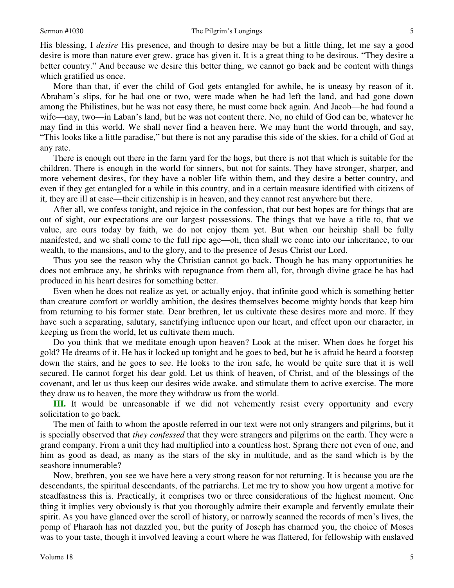His blessing, I *desire* His presence, and though to desire may be but a little thing, let me say a good desire is more than nature ever grew, grace has given it. It is a great thing to be desirous. "They desire a better country." And because we desire this better thing, we cannot go back and be content with things which gratified us once.

More than that, if ever the child of God gets entangled for awhile, he is uneasy by reason of it. Abraham's slips, for he had one or two, were made when he had left the land, and had gone down among the Philistines, but he was not easy there, he must come back again. And Jacob—he had found a wife—nay, two—in Laban's land, but he was not content there. No, no child of God can be, whatever he may find in this world. We shall never find a heaven here. We may hunt the world through, and say, "This looks like a little paradise," but there is not any paradise this side of the skies, for a child of God at any rate.

There is enough out there in the farm yard for the hogs, but there is not that which is suitable for the children. There is enough in the world for sinners, but not for saints. They have stronger, sharper, and more vehement desires, for they have a nobler life within them, and they desire a better country, and even if they get entangled for a while in this country, and in a certain measure identified with citizens of it, they are ill at ease—their citizenship is in heaven, and they cannot rest anywhere but there.

After all, we confess tonight, and rejoice in the confession, that our best hopes are for things that are out of sight, our expectations are our largest possessions. The things that we have a title to, that we value, are ours today by faith, we do not enjoy them yet. But when our heirship shall be fully manifested, and we shall come to the full ripe age—oh, then shall we come into our inheritance, to our wealth, to the mansions, and to the glory, and to the presence of Jesus Christ our Lord.

Thus you see the reason why the Christian cannot go back. Though he has many opportunities he does not embrace any, he shrinks with repugnance from them all, for, through divine grace he has had produced in his heart desires for something better.

Even when he does not realize as yet, or actually enjoy, that infinite good which is something better than creature comfort or worldly ambition, the desires themselves become mighty bonds that keep him from returning to his former state. Dear brethren, let us cultivate these desires more and more. If they have such a separating, salutary, sanctifying influence upon our heart, and effect upon our character, in keeping us from the world, let us cultivate them much.

Do you think that we meditate enough upon heaven? Look at the miser. When does he forget his gold? He dreams of it. He has it locked up tonight and he goes to bed, but he is afraid he heard a footstep down the stairs, and he goes to see. He looks to the iron safe, he would be quite sure that it is well secured. He cannot forget his dear gold. Let us think of heaven, of Christ, and of the blessings of the covenant, and let us thus keep our desires wide awake, and stimulate them to active exercise. The more they draw us to heaven, the more they withdraw us from the world.

**III.** It would be unreasonable if we did not vehemently resist every opportunity and every solicitation to go back.

The men of faith to whom the apostle referred in our text were not only strangers and pilgrims, but it is specially observed that *they confessed* that they were strangers and pilgrims on the earth. They were a grand company. From a unit they had multiplied into a countless host. Sprang there not even of one, and him as good as dead, as many as the stars of the sky in multitude, and as the sand which is by the seashore innumerable?

Now, brethren, you see we have here a very strong reason for not returning. It is because you are the descendants, the spiritual descendants, of the patriarchs. Let me try to show you how urgent a motive for steadfastness this is. Practically, it comprises two or three considerations of the highest moment. One thing it implies very obviously is that you thoroughly admire their example and fervently emulate their spirit. As you have glanced over the scroll of history, or narrowly scanned the records of men's lives, the pomp of Pharaoh has not dazzled you, but the purity of Joseph has charmed you, the choice of Moses was to your taste, though it involved leaving a court where he was flattered, for fellowship with enslaved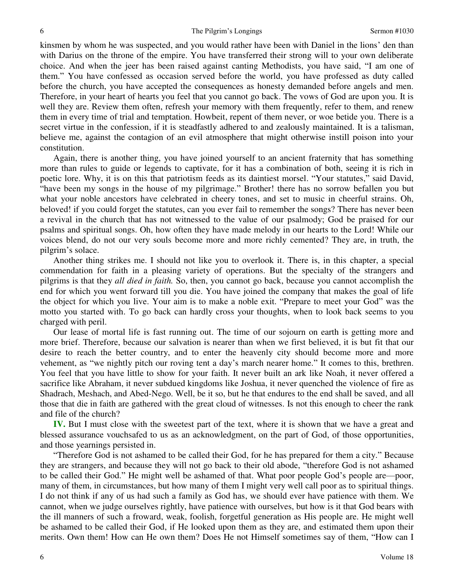kinsmen by whom he was suspected, and you would rather have been with Daniel in the lions' den than with Darius on the throne of the empire. You have transferred their strong will to your own deliberate choice. And when the jeer has been raised against canting Methodists, you have said, "I am one of them." You have confessed as occasion served before the world, you have professed as duty called before the church, you have accepted the consequences as honesty demanded before angels and men. Therefore, in your heart of hearts you feel that you cannot go back. The vows of God are upon you. It is well they are. Review them often, refresh your memory with them frequently, refer to them, and renew them in every time of trial and temptation. Howbeit, repent of them never, or woe betide you. There is a secret virtue in the confession, if it is steadfastly adhered to and zealously maintained. It is a talisman, believe me, against the contagion of an evil atmosphere that might otherwise instill poison into your constitution.

Again, there is another thing, you have joined yourself to an ancient fraternity that has something more than rules to guide or legends to captivate, for it has a combination of both, seeing it is rich in poetic lore. Why, it is on this that patriotism feeds as its daintiest morsel. "Your statutes," said David, "have been my songs in the house of my pilgrimage." Brother! there has no sorrow befallen you but what your noble ancestors have celebrated in cheery tones, and set to music in cheerful strains. Oh, beloved! if you could forget the statutes, can you ever fail to remember the songs? There has never been a revival in the church that has not witnessed to the value of our psalmody; God be praised for our psalms and spiritual songs. Oh, how often they have made melody in our hearts to the Lord! While our voices blend, do not our very souls become more and more richly cemented? They are, in truth, the pilgrim's solace.

Another thing strikes me. I should not like you to overlook it. There is, in this chapter, a special commendation for faith in a pleasing variety of operations. But the specialty of the strangers and pilgrims is that they *all died in faith.* So, then, you cannot go back, because you cannot accomplish the end for which you went forward till you die. You have joined the company that makes the goal of life the object for which you live. Your aim is to make a noble exit. "Prepare to meet your God" was the motto you started with. To go back can hardly cross your thoughts, when to look back seems to you charged with peril.

Our lease of mortal life is fast running out. The time of our sojourn on earth is getting more and more brief. Therefore, because our salvation is nearer than when we first believed, it is but fit that our desire to reach the better country, and to enter the heavenly city should become more and more vehement, as "we nightly pitch our roving tent a day's march nearer home." It comes to this, brethren. You feel that you have little to show for your faith. It never built an ark like Noah, it never offered a sacrifice like Abraham, it never subdued kingdoms like Joshua, it never quenched the violence of fire as Shadrach, Meshach, and Abed-Nego. Well, be it so, but he that endures to the end shall be saved, and all those that die in faith are gathered with the great cloud of witnesses. Is not this enough to cheer the rank and file of the church?

**IV.** But I must close with the sweetest part of the text, where it is shown that we have a great and blessed assurance vouchsafed to us as an acknowledgment, on the part of God, of those opportunities, and those yearnings persisted in.

"Therefore God is not ashamed to be called their God, for he has prepared for them a city." Because they are strangers, and because they will not go back to their old abode, "therefore God is not ashamed to be called their God." He might well be ashamed of that. What poor people God's people are—poor, many of them, in circumstances, but how many of them I might very well call poor as to spiritual things. I do not think if any of us had such a family as God has, we should ever have patience with them. We cannot, when we judge ourselves rightly, have patience with ourselves, but how is it that God bears with the ill manners of such a froward, weak, foolish, forgetful generation as His people are. He might well be ashamed to be called their God, if He looked upon them as they are, and estimated them upon their merits. Own them! How can He own them? Does He not Himself sometimes say of them, "How can I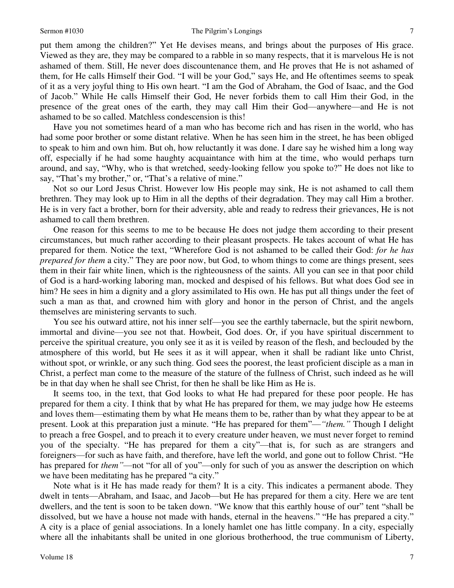#### Sermon #1030 The Pilgrim's Longings

put them among the children?" Yet He devises means, and brings about the purposes of His grace. Viewed as they are, they may be compared to a rabble in so many respects, that it is marvelous He is not ashamed of them. Still, He never does discountenance them, and He proves that He is not ashamed of them, for He calls Himself their God. "I will be your God," says He, and He oftentimes seems to speak of it as a very joyful thing to His own heart. "I am the God of Abraham, the God of Isaac, and the God of Jacob." While He calls Himself their God, He never forbids them to call Him their God, in the presence of the great ones of the earth, they may call Him their God—anywhere—and He is not ashamed to be so called. Matchless condescension is this!

Have you not sometimes heard of a man who has become rich and has risen in the world, who has had some poor brother or some distant relative. When he has seen him in the street, he has been obliged to speak to him and own him. But oh, how reluctantly it was done. I dare say he wished him a long way off, especially if he had some haughty acquaintance with him at the time, who would perhaps turn around, and say, "Why, who is that wretched, seedy-looking fellow you spoke to?" He does not like to say, "That's my brother," or, "That's a relative of mine."

Not so our Lord Jesus Christ. However low His people may sink, He is not ashamed to call them brethren. They may look up to Him in all the depths of their degradation. They may call Him a brother. He is in very fact a brother, born for their adversity, able and ready to redress their grievances, He is not ashamed to call them brethren.

One reason for this seems to me to be because He does not judge them according to their present circumstances, but much rather according to their pleasant prospects. He takes account of what He has prepared for them. Notice the text, "Wherefore God is not ashamed to be called their God: *for he has prepared for them* a city." They are poor now, but God, to whom things to come are things present, sees them in their fair white linen, which is the righteousness of the saints. All you can see in that poor child of God is a hard-working laboring man, mocked and despised of his fellows. But what does God see in him? He sees in him a dignity and a glory assimilated to His own. He has put all things under the feet of such a man as that, and crowned him with glory and honor in the person of Christ, and the angels themselves are ministering servants to such.

You see his outward attire, not his inner self—you see the earthly tabernacle, but the spirit newborn, immortal and divine—you see not that. Howbeit, God does. Or, if you have spiritual discernment to perceive the spiritual creature, you only see it as it is veiled by reason of the flesh, and beclouded by the atmosphere of this world, but He sees it as it will appear, when it shall be radiant like unto Christ, without spot, or wrinkle, or any such thing. God sees the poorest, the least proficient disciple as a man in Christ, a perfect man come to the measure of the stature of the fullness of Christ, such indeed as he will be in that day when he shall see Christ, for then he shall be like Him as He is.

It seems too, in the text, that God looks to what He had prepared for these poor people. He has prepared for them a city. I think that by what He has prepared for them, we may judge how He esteems and loves them—estimating them by what He means them to be, rather than by what they appear to be at present. Look at this preparation just a minute. "He has prepared for them"—*"them."* Though I delight to preach a free Gospel, and to preach it to every creature under heaven, we must never forget to remind you of the specialty. "He has prepared for them a city"—that is, for such as are strangers and foreigners—for such as have faith, and therefore, have left the world, and gone out to follow Christ. "He has prepared for *them*<sup>"</sup>—not "for all of you"—only for such of you as answer the description on which we have been meditating has he prepared "a city."

Note what is it He has made ready for them? It is a city. This indicates a permanent abode. They dwelt in tents—Abraham, and Isaac, and Jacob—but He has prepared for them a city. Here we are tent dwellers, and the tent is soon to be taken down. "We know that this earthly house of our" tent "shall be dissolved, but we have a house not made with hands, eternal in the heavens." "He has prepared a city." A city is a place of genial associations. In a lonely hamlet one has little company. In a city, especially where all the inhabitants shall be united in one glorious brotherhood, the true communism of Liberty,